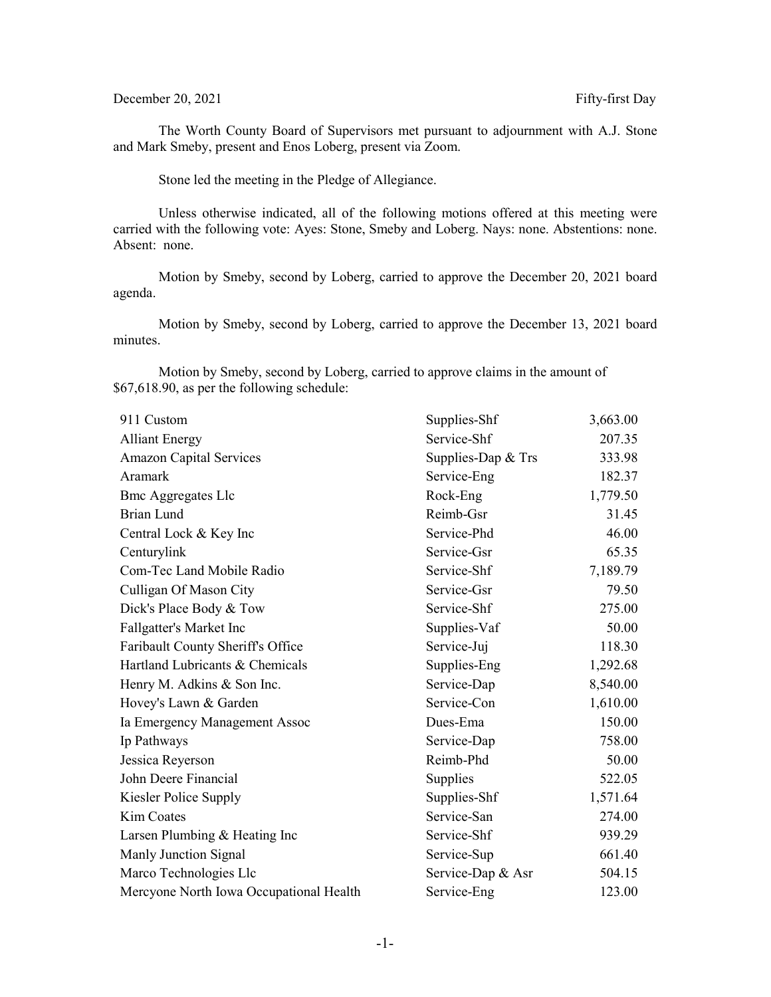## December 20, 2021 Fifty-first Day

The Worth County Board of Supervisors met pursuant to adjournment with A.J. Stone and Mark Smeby, present and Enos Loberg, present via Zoom.

Stone led the meeting in the Pledge of Allegiance.

Unless otherwise indicated, all of the following motions offered at this meeting were carried with the following vote: Ayes: Stone, Smeby and Loberg. Nays: none. Abstentions: none. Absent: none.

Motion by Smeby, second by Loberg, carried to approve the December 20, 2021 board agenda.

Motion by Smeby, second by Loberg, carried to approve the December 13, 2021 board minutes.

Motion by Smeby, second by Loberg, carried to approve claims in the amount of \$67,618.90, as per the following schedule:

| 911 Custom                              | Supplies-Shf         | 3,663.00 |
|-----------------------------------------|----------------------|----------|
| <b>Alliant Energy</b>                   | Service-Shf          | 207.35   |
| <b>Amazon Capital Services</b>          | Supplies-Dap $&$ Trs | 333.98   |
| Aramark                                 | Service-Eng          | 182.37   |
| <b>Bmc Aggregates Llc</b>               | Rock-Eng             | 1,779.50 |
| Brian Lund                              | Reimb-Gsr            | 31.45    |
| Central Lock & Key Inc                  | Service-Phd          | 46.00    |
| Centurylink                             | Service-Gsr          | 65.35    |
| Com-Tec Land Mobile Radio               | Service-Shf          | 7,189.79 |
| Culligan Of Mason City                  | Service-Gsr          | 79.50    |
| Dick's Place Body & Tow                 | Service-Shf          | 275.00   |
| Fallgatter's Market Inc                 | Supplies-Vaf         | 50.00    |
| Faribault County Sheriff's Office       | Service-Juj          | 118.30   |
| Hartland Lubricants & Chemicals         | Supplies-Eng         | 1,292.68 |
| Henry M. Adkins & Son Inc.              | Service-Dap          | 8,540.00 |
| Hovey's Lawn & Garden                   | Service-Con          | 1,610.00 |
| Ia Emergency Management Assoc           | Dues-Ema             | 150.00   |
| Ip Pathways                             | Service-Dap          | 758.00   |
| Jessica Reyerson                        | Reimb-Phd            | 50.00    |
| John Deere Financial                    | Supplies             | 522.05   |
| Kiesler Police Supply                   | Supplies-Shf         | 1,571.64 |
| Kim Coates                              | Service-San          | 274.00   |
| Larsen Plumbing & Heating Inc           | Service-Shf          | 939.29   |
| Manly Junction Signal                   | Service-Sup          | 661.40   |
| Marco Technologies Llc                  | Service-Dap & Asr    | 504.15   |
| Mercyone North Iowa Occupational Health | Service-Eng          | 123.00   |